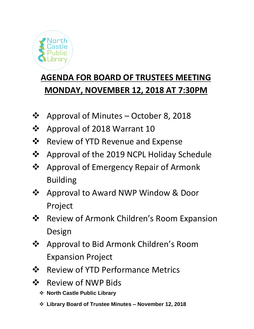

## **AGENDA FOR BOARD OF TRUSTEES MEETING MONDAY, NOVEMBER 12, 2018 AT 7:30PM**

- ❖ Approval of Minutes October 8, 2018
- ❖ Approval of 2018 Warrant 10
- ❖ Review of YTD Revenue and Expense
- ❖ Approval of the 2019 NCPL Holiday Schedule
- ❖ Approval of Emergency Repair of Armonk Building
- ❖ Approval to Award NWP Window & Door Project
- ❖ Review of Armonk Children's Room Expansion Design
- ❖ Approval to Bid Armonk Children's Room Expansion Project
- ❖ Review of YTD Performance Metrics
- ❖ Review of NWP Bids
	- ❖ **North Castle Public Library**
	- ❖ **Library Board of Trustee Minutes – November 12, 2018**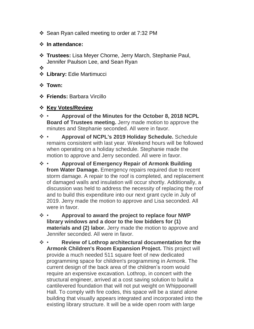- ❖ Sean Ryan called meeting to order at 7:32 PM
- ❖ **In attendance:**
- ❖ **Trustees:** Lisa Meyer Chorne, Jerry March, Stephanie Paul, Jennifer Paulson Lee, and Sean Ryan
- ❖
- ❖ **Library:** Edie Martimucci
- ❖ **Town:**
- ❖ **Friends:** Barbara Vircillo
- ❖ **Key Votes/Review**
- ❖ **Approval of the Minutes for the October 8, 2018 NCPL Board of Trustees meeting.** Jerry made motion to approve the minutes and Stephanie seconded. All were in favor.
- ❖ **Approval of NCPL's 2019 Holiday Schedule.** Schedule remains consistent with last year. Weekend hours will be followed when operating on a holiday schedule. Stephanie made the motion to approve and Jerry seconded. All were in favor.
- ❖ **Approval of Emergency Repair of Armonk Building from Water Damage.** Emergency repairs required due to recent storm damage. A repair to the roof is completed, and replacement of damaged walls and insulation will occur shortly. Additionally, a discussion was held to address the necessity of replacing the roof and to build this expenditure into our next grant cycle in July of 2019. Jerry made the motion to approve and Lisa seconded. All were in favor.
- ❖ **Approval to award the project to replace four NWP library windows and a door to the low bidders for (1) materials and (2) labor.** Jerry made the motion to approve and Jennifer seconded. All were in favor.
- ❖ **Review of Lothrop architectural documentation for the Armonk Children's Room Expansion Project.** This project will provide a much needed 511 square feet of new dedicated programming space for children's programming in Armonk. The current design of the back area of the children's room would require an expensive excavation. Lothrop, in concert with the structural engineer, arrived at a cost saving solution to build a cantilevered foundation that will not put weight on Whippoorwill Hall. To comply with fire codes, this space will be a stand alone building that visually appears integrated and incorporated into the existing library structure. It will be a wide open room with large